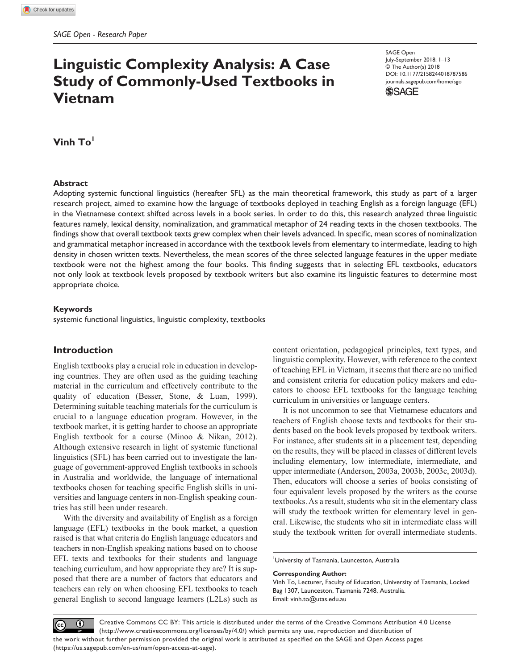# **Linguistic Complexity Analysis: A Case Study of Commonly-Used Textbooks in Vietnam**

DOI: 10.1177/2158244018787586 SAGE Open July-September 2018: 1–13 © The Author(s) 2018 [journals.sagepub.com/home/sgo](https://journals.sagepub.com/home/sgo)



**Vinh To**<sup>1</sup>

### **Abstract**

Adopting systemic functional linguistics (hereafter SFL) as the main theoretical framework, this study as part of a larger research project, aimed to examine how the language of textbooks deployed in teaching English as a foreign language (EFL) in the Vietnamese context shifted across levels in a book series. In order to do this, this research analyzed three linguistic features namely, lexical density, nominalization, and grammatical metaphor of 24 reading texts in the chosen textbooks. The findings show that overall textbook texts grew complex when their levels advanced. In specific, mean scores of nominalization and grammatical metaphor increased in accordance with the textbook levels from elementary to intermediate, leading to high density in chosen written texts. Nevertheless, the mean scores of the three selected language features in the upper mediate textbook were not the highest among the four books. This finding suggests that in selecting EFL textbooks, educators not only look at textbook levels proposed by textbook writers but also examine its linguistic features to determine most appropriate choice.

#### **Keywords**

systemic functional linguistics, linguistic complexity, textbooks

### **Introduction**

English textbooks play a crucial role in education in developing countries. They are often used as the guiding teaching material in the curriculum and effectively contribute to the quality of education (Besser, Stone, & Luan, 1999). Determining suitable teaching materials for the curriculum is crucial to a language education program. However, in the textbook market, it is getting harder to choose an appropriate English textbook for a course (Minoo & Nikan, 2012). Although extensive research in light of systemic functional linguistics (SFL) has been carried out to investigate the language of government-approved English textbooks in schools in Australia and worldwide, the language of international textbooks chosen for teaching specific English skills in universities and language centers in non-English speaking countries has still been under research.

With the diversity and availability of English as a foreign language (EFL) textbooks in the book market, a question raised is that what criteria do English language educators and teachers in non-English speaking nations based on to choose EFL texts and textbooks for their students and language teaching curriculum, and how appropriate they are? It is supposed that there are a number of factors that educators and teachers can rely on when choosing EFL textbooks to teach general English to second language learners (L2Ls) such as

content orientation, pedagogical principles, text types, and linguistic complexity. However, with reference to the context of teaching EFL in Vietnam, it seems that there are no unified and consistent criteria for education policy makers and educators to choose EFL textbooks for the language teaching curriculum in universities or language centers.

It is not uncommon to see that Vietnamese educators and teachers of English choose texts and textbooks for their students based on the book levels proposed by textbook writers. For instance, after students sit in a placement test, depending on the results, they will be placed in classes of different levels including elementary, low intermediate, intermediate, and upper intermediate (Anderson, 2003a, 2003b, 2003c, 2003d). Then, educators will choose a series of books consisting of four equivalent levels proposed by the writers as the course textbooks. As a result, students who sit in the elementary class will study the textbook written for elementary level in general. Likewise, the students who sit in intermediate class will study the textbook written for overall intermediate students.

1 University of Tasmania, Launceston, Australia

#### **Corresponding Author:**

Vinh To, Lecturer, Faculty of Education, University of Tasmania, Locked Bag 1307, Launceston, Tasmania 7248, Australia. Email: [vinh.to@utas.edu.au](mailto:vinh.to@utas.edu.au)

Creative Commons CC BY: This article is distributed under the terms of the Creative Commons Attribution 4.0 License  $\odot$  $\left(\mathrm{cc}\right)$ (http://www.creativecommons.org/licenses/by/4.0/) which permits any use, reproduction and distribution of the work without further permission provided the original work is attributed as specified on the SAGE and Open Access pages (https://us.sagepub.com/en-us/nam/open-access-at-sage).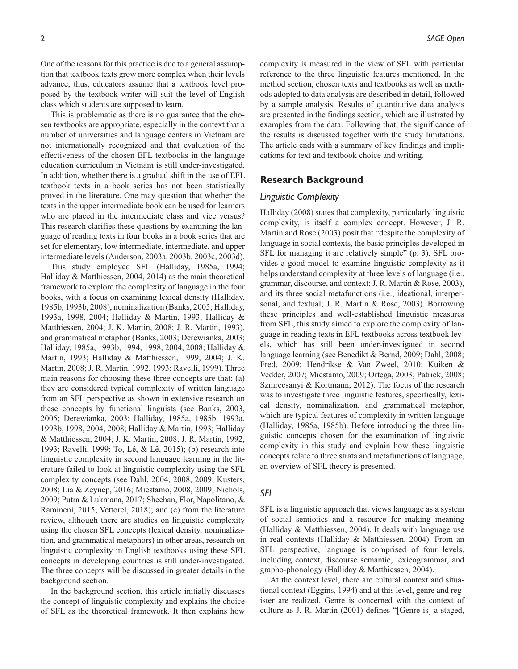One of the reasons for this practice is due to a general assumption that textbook texts grow more complex when their levels advance; thus, educators assume that a textbook level proposed by the textbook writer will suit the level of English class which students are supposed to learn.

This is problematic as there is no guarantee that the chosen textbooks are appropriate, especially in the context that a number of universities and language centers in Vietnam are not internationally recognized and that evaluation of the effectiveness of the chosen EFL textbooks in the language education curriculum in Vietnam is still under-investigated. In addition, whether there is a gradual shift in the use of EFL textbook texts in a book series has not been statistically proved in the literature. One may question that whether the texts in the upper intermediate book can be used for learners who are placed in the intermediate class and vice versus? This research clarifies these questions by examining the language of reading texts in four books in a book series that are set for elementary, low intermediate, intermediate, and upper intermediate levels (Anderson, 2003a, 2003b, 2003c, 2003d).

This study employed SFL (Halliday, 1985a, 1994; Halliday & Matthiessen, 2004, 2014) as the main theoretical framework to explore the complexity of language in the four books, with a focus on examining lexical density (Halliday, 1985b, 1993b, 2008), nominalization (Banks, 2005; Halliday, 1993a, 1998, 2004; Halliday & Martin, 1993; Halliday & Matthiessen, 2004; J. K. Martin, 2008; J. R. Martin, 1993), and grammatical metaphor (Banks, 2003; Derewianka, 2003; Halliday, 1985a, 1993b, 1994, 1998, 2004, 2008; Halliday & Martin, 1993; Halliday & Matthiessen, 1999, 2004; J. K. Martin, 2008; J. R. Martin, 1992, 1993; Ravelli, 1999). Three main reasons for choosing these three concepts are that: (a) they are considered typical complexity of written language from an SFL perspective as shown in extensive research on these concepts by functional linguists (see Banks, 2003, 2005; Derewianka, 2003; Halliday, 1985a, 1985b, 1993a, 1993b, 1998, 2004, 2008; Halliday & Martin, 1993; Halliday & Matthiessen, 2004; J. K. Martin, 2008; J. R. Martin, 1992, 1993; Ravelli, 1999; To, Lê, & Lê, 2015); (b) research into linguistic complexity in second language learning in the literature failed to look at linguistic complexity using the SFL complexity concepts (see Dahl, 2004, 2008, 2009; Kusters, 2008; Lia & Zeynep, 2016; Miestamo, 2008, 2009; Nichols, 2009; Putra & Lukmana, 2017; Sheehan, Flor, Napolitano, & Ramineni, 2015; Vettorel, 2018); and (c) from the literature review, although there are studies on linguistic complexity using the chosen SFL concepts (lexical density, nominalization, and grammatical metaphors) in other areas, research on linguistic complexity in English textbooks using these SFL concepts in developing countries is still under-investigated. The three concepts will be discussed in greater details in the background section.

In the background section, this article initially discusses the concept of linguistic complexity and explains the choice of SFL as the theoretical framework. It then explains how complexity is measured in the view of SFL with particular reference to the three linguistic features mentioned. In the method section, chosen texts and textbooks as well as methods adopted to data analysis are described in detail, followed by a sample analysis. Results of quantitative data analysis are presented in the findings section, which are illustrated by examples from the data. Following that, the significance of the results is discussed together with the study limitations. The article ends with a summary of key findings and implications for text and textbook choice and writing.

# **Research Background**

### *Linguistic Complexity*

Halliday (2008) states that complexity, particularly linguistic complexity, is itself a complex concept. However, J. R. Martin and Rose (2003) posit that "despite the complexity of language in social contexts, the basic principles developed in SFL for managing it are relatively simple" (p. 3). SFL provides a good model to examine linguistic complexity as it helps understand complexity at three levels of language (i.e., grammar, discourse, and context; J. R. Martin & Rose, 2003), and its three social metafunctions (i.e., ideational, interpersonal, and textual; J. R. Martin & Rose, 2003). Borrowing these principles and well-established linguistic measures from SFL, this study aimed to explore the complexity of language in reading texts in EFL textbooks across textbook levels, which has still been under-investigated in second language learning (see Benedikt & Bernd, 2009; Dahl, 2008; Fred, 2009; Hendrikse & Van Zweel, 2010; Kuiken & Vedder, 2007; Miestamo, 2009; Ortega, 2003; Patrick, 2008; Szmrecsanyi & Kortmann, 2012). The focus of the research was to investigate three linguistic features, specifically, lexical density, nominalization, and grammatical metaphor, which are typical features of complexity in written language (Halliday, 1985a, 1985b). Before introducing the three linguistic concepts chosen for the examination of linguistic complexity in this study and explain how these linguistic concepts relate to three strata and metafunctions of language, an overview of SFL theory is presented.

### *SFL*

SFL is a linguistic approach that views language as a system of social semiotics and a resource for making meaning (Halliday & Matthiessen, 2004). It deals with language use in real contexts (Halliday & Matthiessen, 2004). From an SFL perspective, language is comprised of four levels, including context, discourse semantic, lexicogrammar, and grapho-phonology (Halliday & Matthiessen, 2004).

At the context level, there are cultural context and situational context (Eggins, 1994) and at this level, genre and register are realized. Genre is concerned with the context of culture as J. R. Martin (2001) defines "[Genre is] a staged,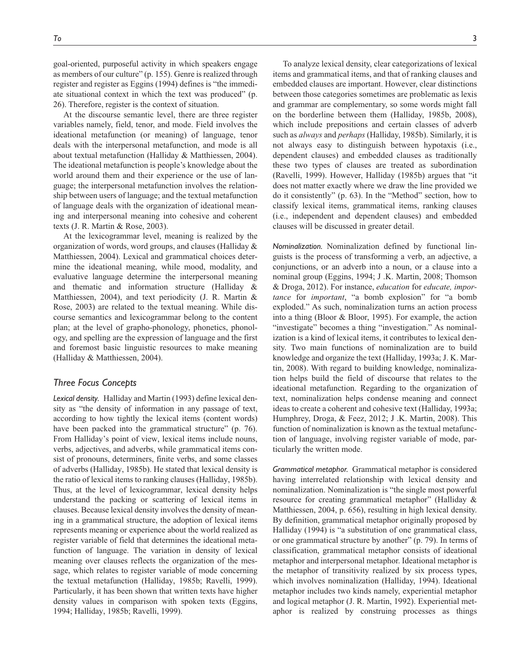goal-oriented, purposeful activity in which speakers engage as members of our culture" (p. 155). Genre is realized through register and register as Eggins (1994) defines is "the immediate situational context in which the text was produced" (p. 26). Therefore, register is the context of situation.

At the discourse semantic level, there are three register variables namely, field, tenor, and mode. Field involves the ideational metafunction (or meaning) of language, tenor deals with the interpersonal metafunction, and mode is all about textual metafunction (Halliday & Matthiessen, 2004). The ideational metafunction is people's knowledge about the world around them and their experience or the use of language; the interpersonal metafunction involves the relationship between users of language; and the textual metafunction of language deals with the organization of ideational meaning and interpersonal meaning into cohesive and coherent texts (J. R. Martin & Rose, 2003).

At the lexicogrammar level, meaning is realized by the organization of words, word groups, and clauses (Halliday & Matthiessen, 2004). Lexical and grammatical choices determine the ideational meaning, while mood, modality, and evaluative language determine the interpersonal meaning and thematic and information structure (Halliday & Matthiessen, 2004), and text periodicity (J. R. Martin & Rose, 2003) are related to the textual meaning. While discourse semantics and lexicogrammar belong to the content plan; at the level of grapho-phonology, phonetics, phonology, and spelling are the expression of language and the first and foremost basic linguistic resources to make meaning (Halliday & Matthiessen, 2004).

### *Three Focus Concepts*

*Lexical density.* Halliday and Martin (1993) define lexical density as "the density of information in any passage of text, according to how tightly the lexical items (content words) have been packed into the grammatical structure" (p. 76). From Halliday's point of view, lexical items include nouns, verbs, adjectives, and adverbs, while grammatical items consist of pronouns, determiners, finite verbs, and some classes of adverbs (Halliday, 1985b). He stated that lexical density is the ratio of lexical items to ranking clauses (Halliday, 1985b). Thus, at the level of lexicogrammar, lexical density helps understand the packing or scattering of lexical items in clauses. Because lexical density involves the density of meaning in a grammatical structure, the adoption of lexical items represents meaning or experience about the world realized as register variable of field that determines the ideational metafunction of language. The variation in density of lexical meaning over clauses reflects the organization of the message, which relates to register variable of mode concerning the textual metafunction (Halliday, 1985b; Ravelli, 1999). Particularly, it has been shown that written texts have higher density values in comparison with spoken texts (Eggins, 1994; Halliday, 1985b; Ravelli, 1999).

To analyze lexical density, clear categorizations of lexical items and grammatical items, and that of ranking clauses and embedded clauses are important. However, clear distinctions between those categories sometimes are problematic as lexis and grammar are complementary, so some words might fall on the borderline between them (Halliday, 1985b, 2008), which include prepositions and certain classes of adverb such as *always* and *perhaps* (Halliday, 1985b). Similarly, it is not always easy to distinguish between hypotaxis (i.e., dependent clauses) and embedded clauses as traditionally these two types of clauses are treated as subordination (Ravelli, 1999). However, Halliday (1985b) argues that "it does not matter exactly where we draw the line provided we do it consistently" (p. 63). In the "Method" section, how to classify lexical items, grammatical items, ranking clauses (i.e., independent and dependent clauses) and embedded clauses will be discussed in greater detail.

*Nominalization.* Nominalization defined by functional linguists is the process of transforming a verb, an adjective, a conjunctions, or an adverb into a noun, or a clause into a nominal group (Eggins, 1994; J .K. Martin, 2008; Thomson & Droga, 2012). For instance, *education* for *educate, importance* for *important*, "a bomb explosion" for "a bomb exploded." As such, nominalization turns an action process into a thing (Bloor & Bloor, 1995). For example, the action "investigate" becomes a thing "investigation." As nominalization is a kind of lexical items, it contributes to lexical density. Two main functions of nominalization are to build knowledge and organize the text (Halliday, 1993a; J. K. Martin, 2008). With regard to building knowledge, nominalization helps build the field of discourse that relates to the ideational metafunction. Regarding to the organization of text, nominalization helps condense meaning and connect ideas to create a coherent and cohesive text (Halliday, 1993a; Humphrey, Droga, & Feez, 2012; J .K. Martin, 2008). This function of nominalization is known as the textual metafunction of language, involving register variable of mode, particularly the written mode.

*Grammatical metaphor.* Grammatical metaphor is considered having interrelated relationship with lexical density and nominalization. Nominalization is "the single most powerful resource for creating grammatical metaphor" (Halliday & Matthiessen, 2004, p. 656), resulting in high lexical density. By definition, grammatical metaphor originally proposed by Halliday (1994) is "a substitution of one grammatical class, or one grammatical structure by another" (p. 79). In terms of classification, grammatical metaphor consists of ideational metaphor and interpersonal metaphor. Ideational metaphor is the metaphor of transitivity realized by six process types, which involves nominalization (Halliday, 1994). Ideational metaphor includes two kinds namely, experiential metaphor and logical metaphor (J. R. Martin, 1992). Experiential metaphor is realized by construing processes as things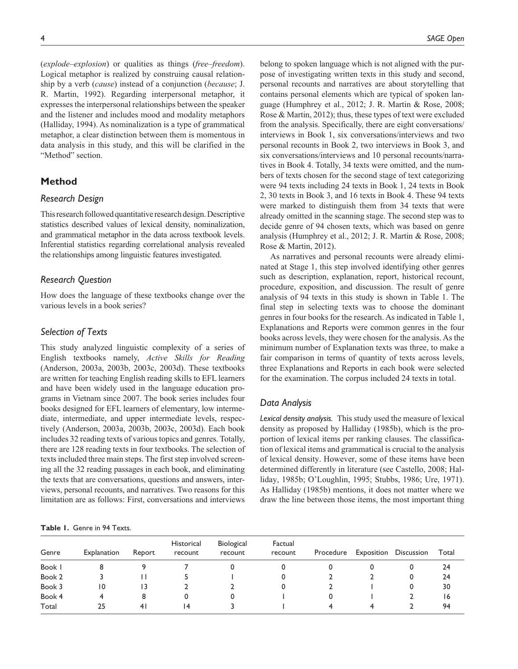(*explode–explosion*) or qualities as things (*free–freedom*). Logical metaphor is realized by construing causal relationship by a verb (*cause*) instead of a conjunction (*because*; J. R. Martin, 1992). Regarding interpersonal metaphor, it expresses the interpersonal relationships between the speaker and the listener and includes mood and modality metaphors (Halliday, 1994). As nominalization is a type of grammatical metaphor, a clear distinction between them is momentous in data analysis in this study, and this will be clarified in the "Method" section.

# **Method**

### *Research Design*

This research followed quantitative research design. Descriptive statistics described values of lexical density, nominalization, and grammatical metaphor in the data across textbook levels. Inferential statistics regarding correlational analysis revealed the relationships among linguistic features investigated.

#### *Research Question*

How does the language of these textbooks change over the various levels in a book series?

# *Selection of Texts*

This study analyzed linguistic complexity of a series of English textbooks namely, *Active Skills for Reading* (Anderson, 2003a, 2003b, 2003c, 2003d). These textbooks are written for teaching English reading skills to EFL learners and have been widely used in the language education programs in Vietnam since 2007. The book series includes four books designed for EFL learners of elementary, low intermediate, intermediate, and upper intermediate levels, respectively (Anderson, 2003a, 2003b, 2003c, 2003d). Each book includes 32 reading texts of various topics and genres. Totally, there are 128 reading texts in four textbooks. The selection of texts included three main steps. The first step involved screening all the 32 reading passages in each book, and eliminating the texts that are conversations, questions and answers, interviews, personal recounts, and narratives. Two reasons for this limitation are as follows: First, conversations and interviews

#### **Table 1.** Genre in 94 Texts.

belong to spoken language which is not aligned with the purpose of investigating written texts in this study and second, personal recounts and narratives are about storytelling that contains personal elements which are typical of spoken language (Humphrey et al., 2012; J. R. Martin & Rose, 2008; Rose & Martin, 2012); thus, these types of text were excluded from the analysis. Specifically, there are eight conversations/ interviews in Book 1, six conversations/interviews and two personal recounts in Book 2, two interviews in Book 3, and six conversations/interviews and 10 personal recounts/narratives in Book 4. Totally, 34 texts were omitted, and the numbers of texts chosen for the second stage of text categorizing were 94 texts including 24 texts in Book 1, 24 texts in Book 2, 30 texts in Book 3, and 16 texts in Book 4. These 94 texts were marked to distinguish them from 34 texts that were already omitted in the scanning stage. The second step was to decide genre of 94 chosen texts, which was based on genre analysis (Humphrey et al., 2012; J. R. Martin & Rose, 2008; Rose & Martin, 2012).

As narratives and personal recounts were already eliminated at Stage 1, this step involved identifying other genres such as description, explanation, report, historical recount, procedure, exposition, and discussion. The result of genre analysis of 94 texts in this study is shown in Table 1. The final step in selecting texts was to choose the dominant genres in four books for the research. As indicated in Table 1, Explanations and Reports were common genres in the four books across levels, they were chosen for the analysis. As the minimum number of Explanation texts was three, to make a fair comparison in terms of quantity of texts across levels, three Explanations and Reports in each book were selected for the examination. The corpus included 24 texts in total.

#### *Data Analysis*

*Lexical density analysis.* This study used the measure of lexical density as proposed by Halliday (1985b), which is the proportion of lexical items per ranking clauses. The classification of lexical items and grammatical is crucial to the analysis of lexical density. However, some of these items have been determined differently in literature (see Castello, 2008; Halliday, 1985b; O'Loughlin, 1995; Stubbs, 1986; Ure, 1971). As Halliday (1985b) mentions, it does not matter where we draw the line between those items, the most important thing

| Genre  | Explanation | Report | Historical<br>recount | Biological<br>recount | Factual<br>recount | Procedure | Exposition | <b>Discussion</b> | Total |
|--------|-------------|--------|-----------------------|-----------------------|--------------------|-----------|------------|-------------------|-------|
| Book I | 8           |        |                       |                       |                    |           |            | 0                 | 24    |
| Book 2 |             |        |                       |                       |                    |           |            | 0                 | 24    |
| Book 3 | 10          | 13     |                       |                       |                    |           |            | 0                 | 30    |
| Book 4 | 4           | 8      |                       |                       |                    |           |            |                   | 16    |
| Total  | 25          | 41     | 14                    |                       |                    |           | 4          |                   | 94    |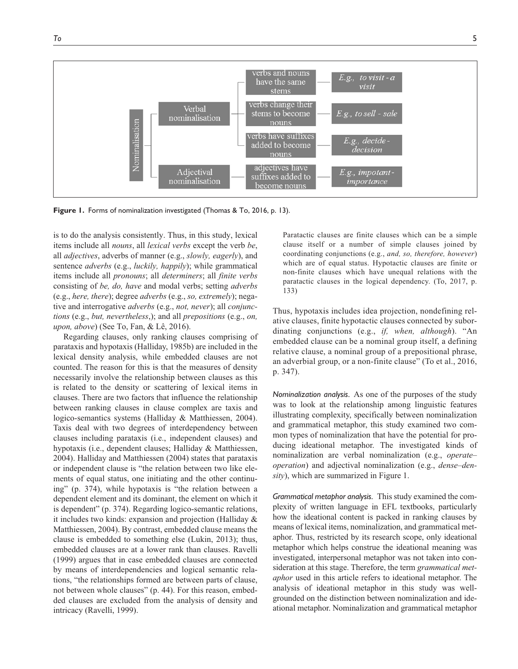

**Figure 1.** Forms of nominalization investigated (Thomas & To, 2016, p. 13).

is to do the analysis consistently. Thus, in this study, lexical items include all *nouns*, all *lexical verbs* except the verb *be*, all *adjectives*, adverbs of manner (e.g., *slowly, eagerly*), and sentence *adverbs* (e.g., *luckily, happily*); while grammatical items include all *pronouns*; all *determiners*; all *finite verbs* consisting of *be, do, have* and modal verbs; setting *adverbs* (e.g., *here, there*); degree *adverbs* (e.g., *so, extremely*); negative and interrogative *adverbs* (e.g., *not, never*); all *conjunctions* (e.g., *but, nevertheless*,); and all *prepositions* (e.g., *on, upon, above*) (See To, Fan, & Lê, 2016).

Regarding clauses, only ranking clauses comprising of parataxis and hypotaxis (Halliday, 1985b) are included in the lexical density analysis, while embedded clauses are not counted. The reason for this is that the measures of density necessarily involve the relationship between clauses as this is related to the density or scattering of lexical items in clauses. There are two factors that influence the relationship between ranking clauses in clause complex are taxis and logico-semantics systems (Halliday & Matthiessen, 2004). Taxis deal with two degrees of interdependency between clauses including parataxis (i.e., independent clauses) and hypotaxis (i.e., dependent clauses; Halliday & Matthiessen, 2004). Halliday and Matthiessen (2004) states that parataxis or independent clause is "the relation between two like elements of equal status, one initiating and the other continuing" (p. 374), while hypotaxis is "the relation between a dependent element and its dominant, the element on which it is dependent" (p. 374). Regarding logico-semantic relations, it includes two kinds: expansion and projection (Halliday & Matthiessen, 2004). By contrast, embedded clause means the clause is embedded to something else (Lukin, 2013); thus, embedded clauses are at a lower rank than clauses. Ravelli (1999) argues that in case embedded clauses are connected by means of interdependencies and logical semantic relations, "the relationships formed are between parts of clause, not between whole clauses" (p. 44). For this reason, embedded clauses are excluded from the analysis of density and intricacy (Ravelli, 1999).

Paratactic clauses are finite clauses which can be a simple clause itself or a number of simple clauses joined by coordinating conjunctions (e.g., *and, so, therefore, however*) which are of equal status. Hypotactic clauses are finite or non-finite clauses which have unequal relations with the paratactic clauses in the logical dependency. (To, 2017, p. 133)

Thus, hypotaxis includes idea projection, nondefining relative clauses, finite hypotactic clauses connected by subordinating conjunctions (e.g., *if, when, although*). "An embedded clause can be a nominal group itself, a defining relative clause, a nominal group of a prepositional phrase, an adverbial group, or a non-finite clause" (To et al., 2016, p. 347).

*Nominalization analysis.* As one of the purposes of the study was to look at the relationship among linguistic features illustrating complexity, specifically between nominalization and grammatical metaphor, this study examined two common types of nominalization that have the potential for producing ideational metaphor. The investigated kinds of nominalization are verbal nominalization (e.g., *operate– operation*) and adjectival nominalization (e.g., *dense–density*), which are summarized in Figure 1.

*Grammatical metaphor analysis.* This study examined the complexity of written language in EFL textbooks, particularly how the ideational content is packed in ranking clauses by means of lexical items, nominalization, and grammatical metaphor. Thus, restricted by its research scope, only ideational metaphor which helps construe the ideational meaning was investigated, interpersonal metaphor was not taken into consideration at this stage. Therefore, the term *grammatical metaphor* used in this article refers to ideational metaphor. The analysis of ideational metaphor in this study was wellgrounded on the distinction between nominalization and ideational metaphor. Nominalization and grammatical metaphor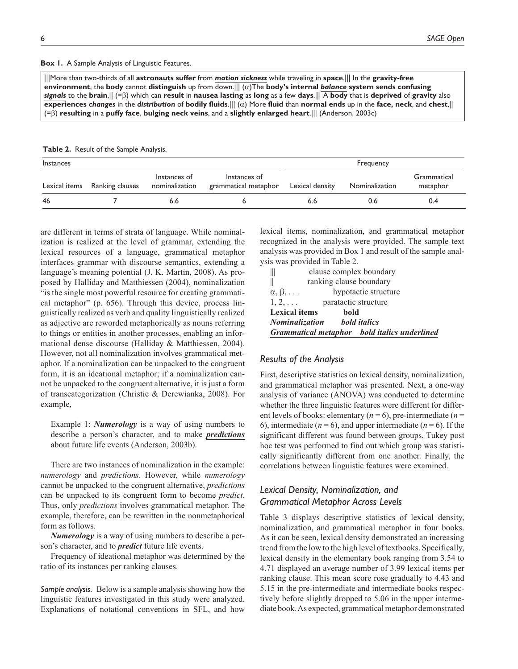#### **Box 1.** A Sample Analysis of Linguistic Features.

|||More than two-thirds of all **astronauts suffer** from *motion sickness* while traveling in **space**.||| In the **gravity-free environment**, the **body** cannot **distinguish** up from down.||| (α)The **body's internal** *balance* **system sends confusing**  *signals* to the **brain**,|| (=β) which can **result** in **nausea lasting** as **long** as a few **days**.||| A **body** that is **deprived** of **gravity** also **experiences** *changes* in the *distribution* of **bodily fluids**.||| (α) More **fluid** than **normal ends** up in the **face, neck**, and **chest**,|| (=β) **resulting** in a **puffy face**, **bulging neck veins**, and a **slightly enlarged heart**.||| (Anderson, 2003c)

**Table 2.** Result of the Sample Analysis.

| <b>Instances</b> |                               |                                | Frequency                            |                 |                |                         |
|------------------|-------------------------------|--------------------------------|--------------------------------------|-----------------|----------------|-------------------------|
|                  | Lexical items Ranking clauses | Instances of<br>nominalization | Instances of<br>grammatical metaphor | Lexical density | Nominalization | Grammatical<br>metaphor |
| 46               |                               | 6.6                            |                                      | 6.6             | 0.6            | 0.4                     |

are different in terms of strata of language. While nominalization is realized at the level of grammar, extending the lexical resources of a language, grammatical metaphor interfaces grammar with discourse semantics, extending a language's meaning potential (J. K. Martin, 2008). As proposed by Halliday and Matthiessen (2004), nominalization "is the single most powerful resource for creating grammatical metaphor" (p. 656). Through this device, process linguistically realized as verb and quality linguistically realized as adjective are reworded metaphorically as nouns referring to things or entities in another processes, enabling an informational dense discourse (Halliday & Matthiessen, 2004). However, not all nominalization involves grammatical metaphor. If a nominalization can be unpacked to the congruent form, it is an ideational metaphor; if a nominalization cannot be unpacked to the congruent alternative, it is just a form of transcategorization (Christie & Derewianka, 2008). For example,

Example 1: *Numerology* is a way of using numbers to describe a person's character, and to make *predictions* about future life events (Anderson, 2003b).

There are two instances of nominalization in the example: *numerology* and *predictions*. However, while *numerology* cannot be unpacked to the congruent alternative, *predictions* can be unpacked to its congruent form to become *predict*. Thus, only *predictions* involves grammatical metaphor. The example, therefore, can be rewritten in the nonmetaphorical form as follows.

*Numerology* is a way of using numbers to describe a person's character, and to *predict* future life events.

Frequency of ideational metaphor was determined by the ratio of its instances per ranking clauses.

*Sample analysis.* Below is a sample analysis showing how the linguistic features investigated in this study were analyzed. Explanations of notational conventions in SFL, and how

lexical items, nominalization, and grammatical metaphor recognized in the analysis were provided. The sample text analysis was provided in Box 1 and result of the sample analysis was provided in Table 2.

|                                    | clause complex boundary                      |
|------------------------------------|----------------------------------------------|
|                                    | ranking clause boundary                      |
| $\alpha, \beta, \ldots$            | hypotactic structure                         |
| $1, 2, \ldots$                     | paratactic structure                         |
| <b>Lexical items</b>               | bold                                         |
| <b>Nominalization</b> bold italics |                                              |
|                                    | Grammatical metaphor bold italics underlined |

### *Results of the Analysis*

First, descriptive statistics on lexical density, nominalization, and grammatical metaphor was presented. Next, a one-way analysis of variance (ANOVA) was conducted to determine whether the three linguistic features were different for different levels of books: elementary  $(n = 6)$ , pre-intermediate  $(n = 6)$ 6), intermediate  $(n=6)$ , and upper intermediate  $(n=6)$ . If the significant different was found between groups, Tukey post hoc test was performed to find out which group was statistically significantly different from one another. Finally, the correlations between linguistic features were examined.

# *Lexical Density, Nominalization, and Grammatical Metaphor Across Levels*

Table 3 displays descriptive statistics of lexical density, nominalization, and grammatical metaphor in four books. As it can be seen, lexical density demonstrated an increasing trend from the low to the high level of textbooks. Specifically, lexical density in the elementary book ranging from 3.54 to 4.71 displayed an average number of 3.99 lexical items per ranking clause. This mean score rose gradually to 4.43 and 5.15 in the pre-intermediate and intermediate books respectively before slightly dropped to 5.06 in the upper intermediate book. As expected, grammatical metaphor demonstrated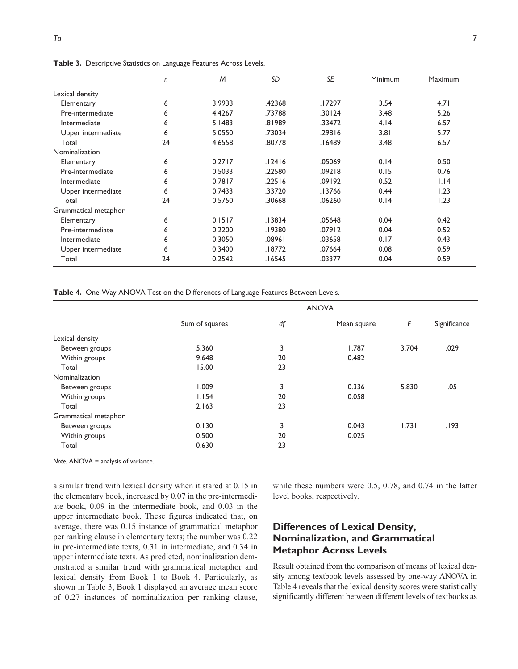|                      | n  | M      | SD     | <b>SE</b> | <b>Minimum</b> | Maximum |
|----------------------|----|--------|--------|-----------|----------------|---------|
| Lexical density      |    |        |        |           |                |         |
| Elementary           | 6  | 3.9933 | .42368 | .17297    | 3.54           | 4.71    |
| Pre-intermediate     | 6  | 4.4267 | .73788 | .30124    | 3.48           | 5.26    |
| Intermediate         | 6  | 5.1483 | .81989 | .33472    | 4.14           | 6.57    |
| Upper intermediate   | 6  | 5.0550 | .73034 | .29816    | 3.81           | 5.77    |
| Total                | 24 | 4.6558 | .80778 | .16489    | 3.48           | 6.57    |
| Nominalization       |    |        |        |           |                |         |
| Elementary           | 6  | 0.2717 | .12416 | .05069    | 0.14           | 0.50    |
| Pre-intermediate     | 6  | 0.5033 | .22580 | .09218    | 0.15           | 0.76    |
| Intermediate         | 6  | 0.7817 | .22516 | .09192    | 0.52           | 1.14    |
| Upper intermediate   | 6  | 0.7433 | .33720 | .13766    | 0.44           | 1.23    |
| Total                | 24 | 0.5750 | .30668 | .06260    | 0.14           | 1.23    |
| Grammatical metaphor |    |        |        |           |                |         |
| Elementary           | 6  | 0.1517 | .13834 | .05648    | 0.04           | 0.42    |
| Pre-intermediate     | 6  | 0.2200 | .19380 | .07912    | 0.04           | 0.52    |
| Intermediate         | 6  | 0.3050 | .08961 | .03658    | 0.17           | 0.43    |
| Upper intermediate   | 6  | 0.3400 | .18772 | .07664    | 0.08           | 0.59    |
| Total                | 24 | 0.2542 | .16545 | .03377    | 0.04           | 0.59    |

**Table 3.** Descriptive Statistics on Language Features Across Levels.

**Table 4.** One-Way ANOVA Test on the Differences of Language Features Between Levels.

|                      | <b>ANOVA</b>   |    |             |       |              |  |
|----------------------|----------------|----|-------------|-------|--------------|--|
|                      | Sum of squares | df | Mean square | F     | Significance |  |
| Lexical density      |                |    |             |       |              |  |
| Between groups       | 5.360          | 3  | 1.787       | 3.704 | .029         |  |
| Within groups        | 9.648          | 20 | 0.482       |       |              |  |
| Total                | 15.00          | 23 |             |       |              |  |
| Nominalization       |                |    |             |       |              |  |
| Between groups       | 1.009          | 3  | 0.336       | 5.830 | .05          |  |
| Within groups        | 1.154          | 20 | 0.058       |       |              |  |
| Total                | 2.163          | 23 |             |       |              |  |
| Grammatical metaphor |                |    |             |       |              |  |
| Between groups       | 0.130          | 3  | 0.043       | 1.731 | .193         |  |
| Within groups        | 0.500          | 20 | 0.025       |       |              |  |
| Total                | 0.630          | 23 |             |       |              |  |

*Note.* ANOVA = analysis of variance.

a similar trend with lexical density when it stared at 0.15 in the elementary book, increased by 0.07 in the pre-intermediate book, 0.09 in the intermediate book, and 0.03 in the upper intermediate book. These figures indicated that, on average, there was 0.15 instance of grammatical metaphor per ranking clause in elementary texts; the number was 0.22 in pre-intermediate texts, 0.31 in intermediate, and 0.34 in upper intermediate texts. As predicted, nominalization demonstrated a similar trend with grammatical metaphor and lexical density from Book 1 to Book 4. Particularly, as shown in Table 3, Book 1 displayed an average mean score of 0.27 instances of nominalization per ranking clause,

while these numbers were 0.5, 0.78, and 0.74 in the latter level books, respectively.

# **Differences of Lexical Density, Nominalization, and Grammatical Metaphor Across Levels**

Result obtained from the comparison of means of lexical density among textbook levels assessed by one-way ANOVA in Table 4 reveals that the lexical density scores were statistically significantly different between different levels of textbooks as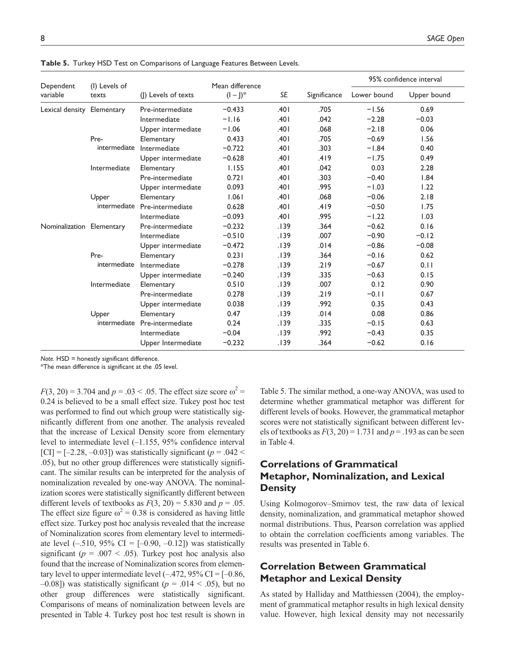| Dependent                  | (I) Levels of         |                     | Mean difference |      |              | 95% confidence interval |             |  |
|----------------------------|-----------------------|---------------------|-----------------|------|--------------|-------------------------|-------------|--|
| variable                   | texts                 | (I) Levels of texts | $(1 - 1)^{*}$   | SE   | Significance | Lower bound             | Upper bound |  |
| Lexical density Elementary |                       | Pre-intermediate    | $-0.433$        | .401 | .705         | $-1.56$                 | 0.69        |  |
|                            |                       | Intermediate        | $-1.16$         | .401 | .042         | $-2.28$                 | $-0.03$     |  |
|                            |                       | Upper intermediate  | $-1.06$         | .401 | .068         | $-2.18$                 | 0.06        |  |
|                            | Pre-                  | Elementary          | 0.433           | .401 | .705         | $-0.69$                 | 1.56        |  |
|                            | intermediate          | Intermediate        | $-0.722$        | .401 | .303         | $-1.84$                 | 0.40        |  |
|                            |                       | Upper intermediate  | $-0.628$        | .401 | .419         | $-1.75$                 | 0.49        |  |
|                            | Intermediate          | Elementary          | 1.155           | .401 | .042         | 0.03                    | 2.28        |  |
|                            |                       | Pre-intermediate    | 0.721           | .401 | .303         | $-0.40$                 | 1.84        |  |
|                            |                       | Upper intermediate  | 0.093           | .401 | .995         | $-1.03$                 | 1.22        |  |
|                            | Upper<br>intermediate | Elementary          | 1.061           | .401 | .068         | $-0.06$                 | 2.18        |  |
|                            |                       | Pre-intermediate    | 0.628           | .401 | .419         | $-0.50$                 | 1.75        |  |
|                            |                       | Intermediate        | $-0.093$        | .401 | .995         | $-1.22$                 | 1.03        |  |
| Nominalization Elementary  |                       | Pre-intermediate    | $-0.232$        | .139 | .364         | $-0.62$                 | 0.16        |  |
|                            |                       | Intermediate        | $-0.510$        | .139 | .007         | $-0.90$                 | $-0.12$     |  |
|                            |                       | Upper intermediate  | $-0.472$        | .139 | .014         | $-0.86$                 | $-0.08$     |  |
|                            | Pre-                  | Elementary          | 0.231           | .139 | .364         | $-0.16$                 | 0.62        |  |
|                            | intermediate          | Intermediate        | $-0.278$        | .139 | .219         | $-0.67$                 | 0.11        |  |
|                            |                       | Upper intermediate  | $-0.240$        | .139 | .335         | $-0.63$                 | 0.15        |  |
|                            | Intermediate          | Elementary          | 0.510           | .139 | .007         | 0.12                    | 0.90        |  |
|                            |                       | Pre-intermediate    | 0.278           | .139 | .219         | $-0.11$                 | 0.67        |  |
|                            |                       | Upper intermediate  | 0.038           | .139 | .992         | 0.35                    | 0.43        |  |
|                            | Upper                 | Elementary          | 0.47            | .139 | .014         | 0.08                    | 0.86        |  |
|                            | intermediate          | Pre-intermediate    | 0.24            | .139 | .335         | $-0.15$                 | 0.63        |  |
|                            |                       | Intermediate        | $-0.04$         | .139 | .992         | $-0.43$                 | 0.35        |  |
|                            |                       | Upper Intermediate  | $-0.232$        | .139 | .364         | $-0.62$                 | 0.16        |  |

**Table 5.** Turkey HSD Test on Comparisons of Language Features Between Levels.

*Note.* HSD = honestly significant difference.

\*The mean difference is significant at the .05 level.

 $F(3, 20) = 3.704$  and  $p = .03 < .05$ . The effect size score  $\omega^2 =$ 0.24 is believed to be a small effect size. Tukey post hoc test was performed to find out which group were statistically significantly different from one another. The analysis revealed that the increase of Lexical Density score from elementary level to intermediate level (–1.155, 95% confidence interval  $[C] = [-2.28, -0.03]$  was statistically significant ( $p = .042$  < .05), but no other group differences were statistically significant. The similar results can be interpreted for the analysis of nominalization revealed by one-way ANOVA. The nominalization scores were statistically significantly different between different levels of textbooks as  $F(3, 20) = 5.830$  and  $p = .05$ . The effect size figure  $\omega^2 = 0.38$  is considered as having little effect size. Turkey post hoc analysis revealed that the increase of Nominalization scores from elementary level to intermediate level  $(-.510, 95\% \text{ CI} = [-0.90, -0.12])$  was statistically significant ( $p = .007 < .05$ ). Turkey post hoc analysis also found that the increase of Nominalization scores from elementary level to upper intermediate level  $(-.472, 95\% \text{ CI} = [-0.86,$  $-0.08$ ]) was statistically significant ( $p = .014 < .05$ ), but no other group differences were statistically significant. Comparisons of means of nominalization between levels are presented in Table 4. Turkey post hoc test result is shown in

Table 5. The similar method, a one-way ANOVA, was used to determine whether grammatical metaphor was different for different levels of books. However, the grammatical metaphor scores were not statistically significant between different levels of textbooks as  $F(3, 20) = 1.731$  and  $p = .193$  as can be seen in Table 4.

# **Correlations of Grammatical Metaphor, Nominalization, and Lexical Density**

Using Kolmogorov–Smirnov test, the raw data of lexical density, nominalization, and grammatical metaphor showed normal distributions. Thus, Pearson correlation was applied to obtain the correlation coefficients among variables. The results was presented in Table 6.

# **Correlation Between Grammatical Metaphor and Lexical Density**

As stated by Halliday and Matthiessen (2004), the employment of grammatical metaphor results in high lexical density value. However, high lexical density may not necessarily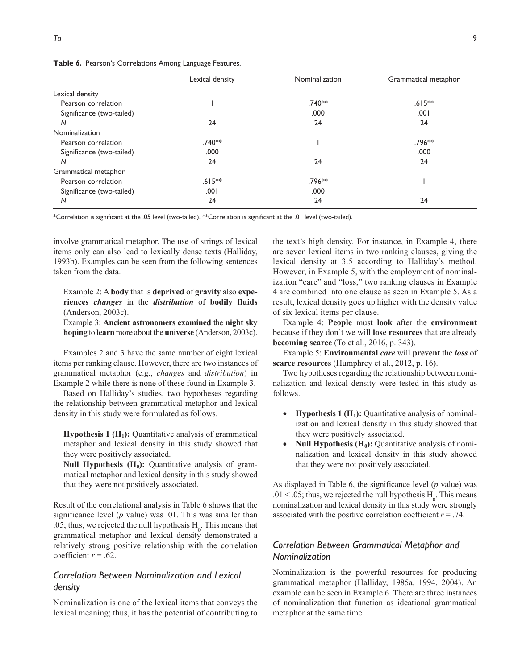|                           | Lexical density |        | Grammatical metaphor |  |
|---------------------------|-----------------|--------|----------------------|--|
| Lexical density           |                 |        |                      |  |
| Pearson correlation       |                 | .740** | $.615**$             |  |
| Significance (two-tailed) |                 | .000   | .001                 |  |
| N                         | 24              | 24     | 24                   |  |
| Nominalization            |                 |        |                      |  |
| Pearson correlation       | .740**          |        | .796**               |  |
| Significance (two-tailed) | .000            |        | .000                 |  |
| N                         | 24              | 24     | 24                   |  |
| Grammatical metaphor      |                 |        |                      |  |
| Pearson correlation       | $.615***$       | .796** |                      |  |
| Significance (two-tailed) | .001            | .000   |                      |  |
| N                         | 24              | 24     | 24                   |  |

**Table 6.** Pearson's Correlations Among Language Features.

\*Correlation is significant at the .05 level (two-tailed). \*\*Correlation is significant at the .01 level (two-tailed).

involve grammatical metaphor. The use of strings of lexical items only can also lead to lexically dense texts (Halliday, 1993b). Examples can be seen from the following sentences taken from the data.

Example 2: A **body** that is **deprived** of **gravity** also **experiences** *changes* in the *distribution* of **bodily fluids** (Anderson, 2003c).

Example 3: **Ancient astronomers examined** the **night sky hoping** to **learn** more about the **universe** (Anderson, 2003c).

Examples 2 and 3 have the same number of eight lexical items per ranking clause. However, there are two instances of grammatical metaphor (e.g., *changes* and *distribution*) in Example 2 while there is none of these found in Example 3.

Based on Halliday's studies, two hypotheses regarding the relationship between grammatical metaphor and lexical density in this study were formulated as follows.

**Hypothesis 1 (H<sub>1</sub>):** Quantitative analysis of grammatical metaphor and lexical density in this study showed that they were positively associated.

**Null Hypothesis**  $(H_0)$ **:** Quantitative analysis of grammatical metaphor and lexical density in this study showed that they were not positively associated.

Result of the correlational analysis in Table 6 shows that the significance level (*p* value) was .01. This was smaller than .05; thus, we rejected the null hypothesis  $H_0$ . This means that grammatical metaphor and lexical density demonstrated a relatively strong positive relationship with the correlation coefficient  $r = .62$ .

# *Correlation Between Nominalization and Lexical density*

Nominalization is one of the lexical items that conveys the lexical meaning; thus, it has the potential of contributing to

the text's high density. For instance, in Example 4, there are seven lexical items in two ranking clauses, giving the lexical density at 3.5 according to Halliday's method. However, in Example 5, with the employment of nominalization "care" and "loss," two ranking clauses in Example 4 are combined into one clause as seen in Example 5. As a result, lexical density goes up higher with the density value of six lexical items per clause.

Example 4: **People** must **look** after the **environment** because if they don't we will **lose resources** that are already **becoming scarce** (To et al., 2016, p. 343).

Example 5: **Environmental** *care* will **prevent** the *loss* of **scarce resources** (Humphrey et al., 2012, p. 16).

Two hypotheses regarding the relationship between nominalization and lexical density were tested in this study as follows.

- **Hypothesis 1 (H<sub>1</sub>):** Quantitative analysis of nominalization and lexical density in this study showed that they were positively associated.
- **Null Hypothesis**  $(H_0)$ **:** Quantitative analysis of nominalization and lexical density in this study showed that they were not positively associated.

As displayed in Table 6, the significance level (*p* value) was  $.01 < .05$ ; thus, we rejected the null hypothesis  $H_0$ . This means nominalization and lexical density in this study were strongly associated with the positive correlation coefficient  $r = .74$ .

# *Correlation Between Grammatical Metaphor and Nominalization*

Nominalization is the powerful resources for producing grammatical metaphor (Halliday, 1985a, 1994, 2004). An example can be seen in Example 6. There are three instances of nominalization that function as ideational grammatical metaphor at the same time.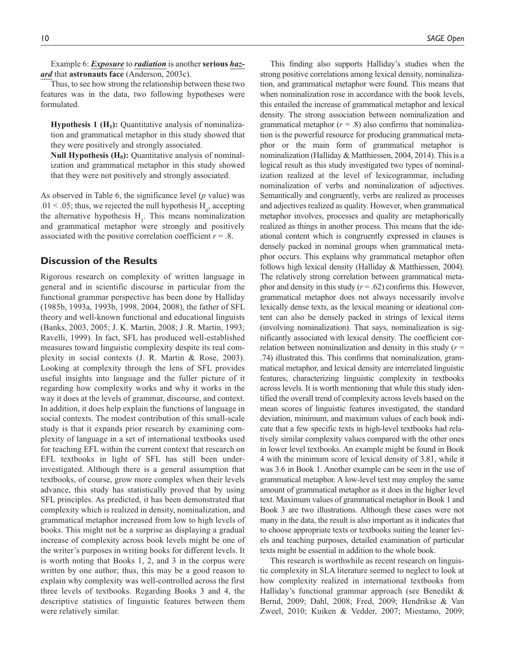Example 6: *Exposure* to *radiation* is another **serious** *hazard* that **astronauts face** (Anderson, 2003c).

Thus, to see how strong the relationship between these two features was in the data, two following hypotheses were formulated.

**Hypothesis 1 (H<sub>1</sub>):** Quantitative analysis of nominalization and grammatical metaphor in this study showed that they were positively and strongly associated.

**Null Hypothesis (H<sub>0</sub>):** Quantitative analysis of nominalization and grammatical metaphor in this study showed that they were not positively and strongly associated.

As observed in Table 6, the significance level (*p* value) was  $.01 < .05$ ; thus, we rejected the null hypothesis H<sub>0</sub>, accepting the alternative hypothesis  $H_1$ . This means nominalization and grammatical metaphor were strongly and positively associated with the positive correlation coefficient  $r = .8$ .

# **Discussion of the Results**

Rigorous research on complexity of written language in general and in scientific discourse in particular from the functional grammar perspective has been done by Halliday (1985b, 1993a, 1993b, 1998, 2004, 2008), the father of SFL theory and well-known functional and educational linguists (Banks, 2003, 2005; J. K. Martin, 2008; J .R. Martin, 1993; Ravelli, 1999). In fact, SFL has produced well-established measures toward linguistic complexity despite its real complexity in social contexts (J. R. Martin & Rose, 2003). Looking at complexity through the lens of SFL provides useful insights into language and the fuller picture of it regarding how complexity works and why it works in the way it does at the levels of grammar, discourse, and context. In addition, it does help explain the functions of language in social contexts. The modest contribution of this small-scale study is that it expands prior research by examining complexity of language in a set of international textbooks used for teaching EFL within the current context that research on EFL textbooks in light of SFL has still been underinvestigated. Although there is a general assumption that textbooks, of course, grow more complex when their levels advance, this study has statistically proved that by using SFL principles. As predicted, it has been demonstrated that complexity which is realized in density, nominalization, and grammatical metaphor increased from low to high levels of books. This might not be a surprise as displaying a gradual increase of complexity across book levels might be one of the writer's purposes in writing books for different levels. It is worth noting that Books 1, 2, and 3 in the corpus were written by one author; thus, this may be a good reason to explain why complexity was well-controlled across the first three levels of textbooks. Regarding Books 3 and 4, the descriptive statistics of linguistic features between them were relatively similar.

This finding also supports Halliday's studies when the strong positive correlations among lexical density, nominalization, and grammatical metaphor were found. This means that when nominalization rose in accordance with the book levels, this entailed the increase of grammatical metaphor and lexical density. The strong association between nominalization and grammatical metaphor  $(r = .8)$  also confirms that nominalization is the powerful resource for producing grammatical metaphor or the main form of grammatical metaphor is nominalization (Halliday & Matthiessen, 2004, 2014). This is a logical result as this study investigated two types of nominalization realized at the level of lexicogrammar, including nominalization of verbs and nominalization of adjectives. Semantically and congruently, verbs are realized as processes and adjectives realized as quality. However, when grammatical metaphor involves, processes and quality are metaphorically realized as things in another process. This means that the ideational content which is congruently expressed in clauses is densely packed in nominal groups when grammatical metaphor occurs. This explains why grammatical metaphor often follows high lexical density (Halliday & Matthiessen, 2004). The relatively strong correlation between grammatical metaphor and density in this study  $(r=.62)$  confirms this. However, grammatical metaphor does not always necessarily involve lexically dense texts, as the lexical meaning or ideational content can also be densely packed in strings of lexical items (involving nominalization). That says, nominalization is significantly associated with lexical density. The coefficient correlation between nominalization and density in this study (*r* = .74) illustrated this. This confirms that nominalization, grammatical metaphor, and lexical density are interrelated linguistic features, characterizing linguistic complexity in textbooks across levels. It is worth mentioning that while this study identified the overall trend of complexity across levels based on the mean scores of linguistic features investigated, the standard deviation, minimum, and maximum values of each book indicate that a few specific texts in high-level textbooks had relatively similar complexity values compared with the other ones in lower level textbooks. An example might be found in Book 4 with the minimum score of lexical density of 3.81, while it was 3.6 in Book 1. Another example can be seen in the use of grammatical metaphor. A low-level text may employ the same amount of grammatical metaphor as it does in the higher level text. Maximum values of grammatical metaphor in Book 1 and Book 3 are two illustrations. Although these cases were not many in the data, the result is also important as it indicates that to choose appropriate texts or textbooks suiting the leaner levels and teaching purposes, detailed examination of particular texts might be essential in addition to the whole book.

This research is worthwhile as recent research on linguistic complexity in SLA literature seemed to neglect to look at how complexity realized in international textbooks from Halliday's functional grammar approach (see Benedikt & Bernd, 2009; Dahl, 2008; Fred, 2009; Hendrikse & Van Zweel, 2010; Kuiken & Vedder, 2007; Miestamo, 2009;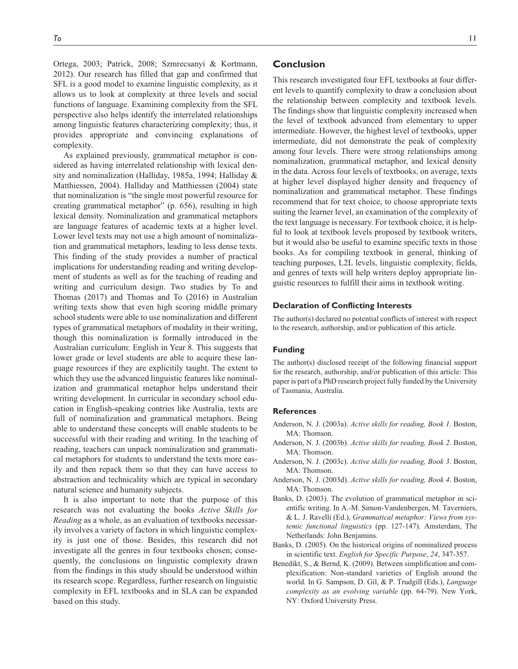Ortega, 2003; Patrick, 2008; Szmrecsanyi & Kortmann, 2012). Our research has filled that gap and confirmed that SFL is a good model to examine linguistic complexity, as it allows us to look at complexity at three levels and social functions of language. Examining complexity from the SFL perspective also helps identify the interrelated relationships among linguistic features characterizing complexity; thus, it provides appropriate and convincing explanations of complexity.

As explained previously, grammatical metaphor is considered as having interrelated relationship with lexical density and nominalization (Halliday, 1985a, 1994; Halliday & Matthiessen, 2004). Halliday and Matthiessen (2004) state that nominalization is "the single most powerful resource for creating grammatical metaphor" (p. 656), resulting in high lexical density. Nominalization and grammatical metaphors are language features of academic texts at a higher level. Lower level texts may not use a high amount of nominalization and grammatical metaphors, leading to less dense texts. This finding of the study provides a number of practical implications for understanding reading and writing development of students as well as for the teaching of reading and writing and curriculum design. Two studies by To and Thomas (2017) and Thomas and To (2016) in Australian writing texts show that even high scoring middle primary school students were able to use nominalization and different types of grammatical metaphors of modality in their writing, though this nominalization is formally introduced in the Australian curriculum: English in Year 8. This suggests that lower grade or level students are able to acquire these language resources if they are explicitily taught. The extent to which they use the advanced linguistic features like nominalization and grammatical metaphor helps understand their writing development. In curricular in secondary school education in English-speaking contries like Australia, texts are full of nominalization and grammatical metaphors. Being able to understand these concepts will enable students to be successful with their reading and writing. In the teaching of reading, teachers can unpack nominalization and grammatical metaphors for students to understand the texts more easily and then repack them so that they can have access to abstraction and technicality which are typical in secondary natural science and humanity subjects.

It is also important to note that the purpose of this research was not evaluating the books *Active Skills for Reading* as a whole, as an evaluation of textbooks necessarily involves a variety of factors in which linguistic complexity is just one of those. Besides, this research did not investigate all the genres in four textbooks chosen; consequently, the conclusions on linguistic complexity drawn from the findings in this study should be understood within its research scope. Regardless, further research on linguistic complexity in EFL textbooks and in SLA can be expanded based on this study.

### **Conclusion**

This research investigated four EFL textbooks at four different levels to quantify complexity to draw a conclusion about the relationship between complexity and textbook levels. The findings show that linguistic complexity increased when the level of textbook advanced from elementary to upper intermediate. However, the highest level of textbooks, upper intermediate, did not demonstrate the peak of complexity among four levels. There were strong relationships among nominalization, grammatical metaphor, and lexical density in the data. Across four levels of textbooks, on average, texts at higher level displayed higher density and frequency of nominalization and grammatical metaphor. These findings recommend that for text choice, to choose appropriate texts suiting the learner level, an examination of the complexity of the text language is necessary. For textbook choice, it is helpful to look at textbook levels proposed by textbook writers, but it would also be useful to examine specific texts in those books. As for compiling textbook in general, thinking of teaching purposes, L2L levels, linguistic complexity, fields, and genres of texts will help writers deploy appropriate linguistic resources to fulfill their aims in textbook writing.

### **Declaration of Conflicting Interests**

The author(s) declared no potential conflicts of interest with respect to the research, authorship, and/or publication of this article.

#### **Funding**

The author(s) disclosed receipt of the following financial support for the research, authorship, and/or publication of this article: This paper is part of a PhD research project fully funded by the University of Tasmania, Australia.

#### **References**

- Anderson, N. J. (2003a). *Active skills for reading, Book 1*. Boston, MA: Thomson.
- Anderson, N. J. (2003b). *Active skills for reading, Book 2*. Boston, MA: Thomson.
- Anderson, N. J. (2003c). *Active skills for reading, Book 3*. Boston, MA: Thomson.
- Anderson, N. J. (2003d). *Active skills for reading, Book 4*. Boston, MA: Thomson.
- Banks, D. (2003). The evolution of grammatical metaphor in scientific writing. In A.-M. Simon-Vandenbergen, M. Taverniers, & L. J. Ravelli (Ed.), *Grammatical metaphor: Views from systemic functional linguistics* (pp. 127-147). Amsterdam, The Netherlands: John Benjamins.
- Banks, D. (2005). On the historical origins of nominalized process in scientific text. *English for Specific Purpose*, *24*, 347-357.
- Benedikt, S., & Bernd, K. (2009). Between simplification and complexification: Non-standard varieties of English around the world. In G. Sampson, D. Gil, & P. Trudgill (Eds.), *Language complexity as an evolving variable* (pp. 64-79). New York, NY: Oxford University Press.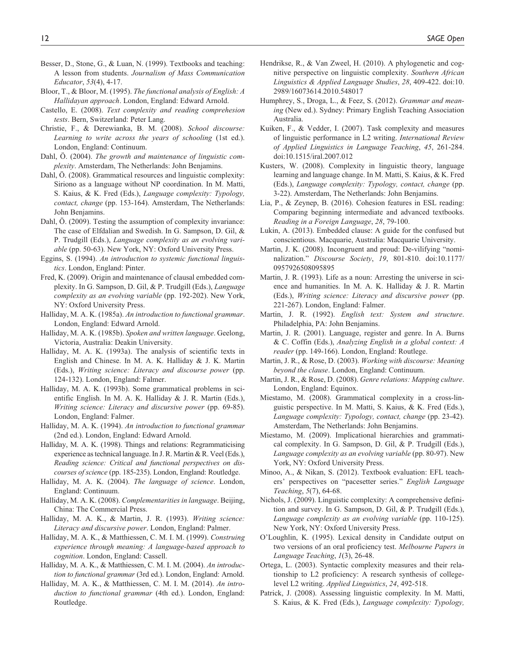- Besser, D., Stone, G., & Luan, N. (1999). Textbooks and teaching: A lesson from students. *Journalism of Mass Communication Educator*, *53*(4), 4-17.
- Bloor, T., & Bloor, M. (1995). *The functional analysis of English: A Hallidayan approach*. London, England: Edward Arnold.
- Castello, E. (2008). *Text complexity and reading comprehesion tests*. Bern, Switzerland: Peter Lang.
- Christie, F., & Derewianka, B. M. (2008). *School discourse: Learning to write across the years of schooling* (1st ed.). London, England: Continuum.
- Dahl, Ö. (2004). *The growth and maintenance of linguistic complexity*. Amsterdam, The Netherlands: John Benjamins.
- Dahl, Ö. (2008). Grammatical resources and linguistic complexity: Siriono as a language without NP coordination. In M. Matti, S. Kaius, & K. Fred (Eds.), *Language complexity: Typology, contact, change* (pp. 153-164). Amsterdam, The Netherlands: John Benjamins.
- Dahl, Ö. (2009). Testing the assumption of complexity invariance: The case of Elfdalian and Swedish. In G. Sampson, D. Gil, & P. Trudgill (Eds.), *Language complexity as an evolving variable* (pp. 50-63). New York, NY: Oxford University Press.
- Eggins, S. (1994). *An introduction to systemic functional linguistics*. London, England: Pinter.
- Fred, K. (2009). Origin and maintenance of clausal embedded complexity. In G. Sampson, D. Gil, & P. Trudgill (Eds.), *Language complexity as an evolving variable* (pp. 192-202). New York, NY: Oxford University Press.
- Halliday, M. A. K. (1985a). *An introduction to functional grammar*. London, England: Edward Arnold.
- Halliday, M. A. K. (1985b). *Spoken and written language*. Geelong, Victoria, Australia: Deakin University.
- Halliday, M. A. K. (1993a). The analysis of scientific texts in English and Chinese. In M. A. K. Halliday & J. K. Martin (Eds.), *Writing science: Literacy and discourse power* (pp. 124-132). London, England: Falmer.
- Halliday, M. A. K. (1993b). Some grammatical problems in scientific English. In M. A. K. Halliday & J. R. Martin (Eds.), *Writing science: Literacy and discursive power* (pp. 69-85). London, England: Falmer.
- Halliday, M. A. K. (1994). *An introduction to functional grammar* (2nd ed.). London, England: Edward Arnold.
- Halliday, M. A. K. (1998). Things and relations: Regrammaticising experience as technical language. In J. R. Martin & R. Veel (Eds.), *Reading science: Critical and functional perspectives on discourses of science* (pp. 185-235). London, England: Routledge.
- Halliday, M. A. K. (2004). *The language of science*. London, England: Continuum.
- Halliday, M. A. K. (2008). *Complementarities in language*. Beijing, China: The Commercial Press.
- Halliday, M. A. K., & Martin, J. R. (1993). *Writing science: Literacy and discursive power*. London, England: Palmer.
- Halliday, M. A. K., & Matthiessen, C. M. I. M. (1999). *Construing experience through meaning: A language-based approach to cognition*. London, England: Cassell.
- Halliday, M. A. K., & Matthiessen, C. M. I. M. (2004). *An introduction to functional grammar* (3rd ed.). London, England: Arnold.
- Halliday, M. A. K., & Matthiessen, C. M. I. M. (2014). *An introduction to functional grammar* (4th ed.). London, England: Routledge.
- Hendrikse, R., & Van Zweel, H. (2010). A phylogenetic and cognitive perspective on linguistic complexity. *Southern African Linguistics & Applied Language Studies*, *28*, 409-422. doi:10. 2989/16073614.2010.548017
- Humphrey, S., Droga, L., & Feez, S. (2012). *Grammar and meaning* (New ed.). Sydney: Primary English Teaching Association Australia.
- Kuiken, F., & Vedder, I. (2007). Task complexity and measures of linguistic performance in L2 writing. *International Review of Applied Linguistics in Language Teaching*, *45*, 261-284. doi:10.1515/iral.2007.012
- Kusters, W. (2008). Complexity in linguistic theory, language learning and language change. In M. Matti, S. Kaius, & K. Fred (Eds.), *Language complexity: Typology, contact, change* (pp. 3-22). Amsterdam, The Netherlands: John Benjamins.
- Lia, P., & Zeynep, B. (2016). Cohesion features in ESL reading: Comparing beginning intermediate and advanced textbooks. *Reading in a Foreign Language*, *28*, 79-100.
- Lukin, A. (2013). Embedded clause: A guide for the confused but conscientious. Macquarie, Australia: Macquarie University.
- Martin, J. K. (2008). Incongruent and proud: De-vilifying "nominalization." *Discourse Society*, *19*, 801-810. doi:10.1177/ 0957926508095895
- Martin, J. R. (1993). Life as a noun: Arresting the universe in science and humanities. In M. A. K. Halliday & J. R. Martin (Eds.), *Writing science: Literacy and discursive power* (pp. 221-267). London, England: Falmer.
- Martin, J. R. (1992). *English text: System and structure*. Philadelphia, PA: John Benjamins.
- Martin, J. R. (2001). Language, register and genre. In A. Burns & C. Coffin (Eds.), *Analyzing English in a global context: A reader* (pp. 149-166). London, England: Routlege.
- Martin, J. R., & Rose, D. (2003). *Working with discourse: Meaning beyond the clause*. London, England: Continuum.
- Martin, J. R., & Rose, D. (2008). *Genre relations: Mapping culture*. London, England: Equinox.
- Miestamo, M. (2008). Grammatical complexity in a cross-linguistic perspective. In M. Matti, S. Kaius, & K. Fred (Eds.), *Language complexity: Typology, contact, change* (pp. 23-42). Amsterdam, The Netherlands: John Benjamins.
- Miestamo, M. (2009). Implicational hierarchies and grammatical complexity. In G. Sampson, D. Gil, & P. Trudgill (Eds.), *Language complexity as an evolving variable* (pp. 80-97). New York, NY: Oxford University Press.
- Minoo, A., & Nikan, S. (2012). Textbook evaluation: EFL teachers' perspectives on "pacesetter series." *English Language Teaching*, *5*(7), 64-68.
- Nichols, J. (2009). Linguistic complexity: A comprehensive definition and survey. In G. Sampson, D. Gil, & P. Trudgill (Eds.), *Language complexity as an evolving variable* (pp. 110-125). New York, NY: Oxford University Press.
- O'Loughlin, K. (1995). Lexical density in Candidate output on two versions of an oral proficiency test. *Melbourne Papers in Language Teaching*, *1*(3), 26-48.
- Ortega, L. (2003). Syntactic complexity measures and their relationship to L2 proficiency: A research synthesis of collegelevel L2 writing. *Applied Linguistics*, *24*, 492-518.
- Patrick, J. (2008). Assessing linguistic complexity. In M. Matti, S. Kaius, & K. Fred (Eds.), *Language complexity: Typology,*